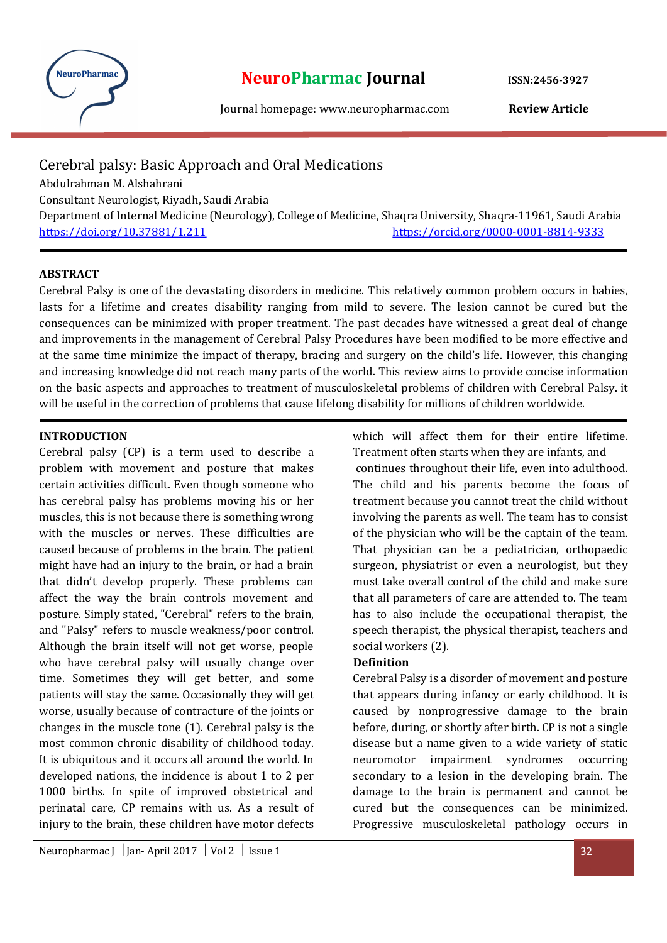

# Cerebral palsy: Basic Approach and Oral Medications Abdulrahman M. Alshahrani Consultant Neurologist, Riyadh, Saudi Arabia Department of Internal Medicine (Neurology), College of Medicine, Shaqra University, Shaqra-11961, Saudi Arabia https://doi.org/10.37881/1.211 https://orcid.org/0000-0001-8814-9333

## ABSTRACT

Cerebral Palsy is one of the devastating disorders in medicine. This relatively common problem occurs in babies, lasts for a lifetime and creates disability ranging from mild to severe. The lesion cannot be cured but the consequences can be minimized with proper treatment. The past decades have witnessed a great deal of change and improvements in the management of Cerebral Palsy Procedures have been modified to be more effective and at the same time minimize the impact of therapy, bracing and surgery on the child's life. However, this changing and increasing knowledge did not reach many parts of the world. This review aims to provide concise information on the basic aspects and approaches to treatment of musculoskeletal problems of children with Cerebral Palsy. it will be useful in the correction of problems that cause lifelong disability for millions of children worldwide.

### INTRODUCTION

Cerebral palsy (CP) is a term used to describe a problem with movement and posture that makes certain activities difficult. Even though someone who has cerebral palsy has problems moving his or her muscles, this is not because there is something wrong with the muscles or nerves. These difficulties are caused because of problems in the brain. The patient might have had an injury to the brain, or had a brain that didn't develop properly. These problems can affect the way the brain controls movement and posture. Simply stated, "Cerebral" refers to the brain, and "Palsy" refers to muscle weakness/poor control. Although the brain itself will not get worse, people who have cerebral palsy will usually change over time. Sometimes they will get better, and some patients will stay the same. Occasionally they will get worse, usually because of contracture of the joints or changes in the muscle tone (1). Cerebral palsy is the most common chronic disability of childhood today. It is ubiquitous and it occurs all around the world. In developed nations, the incidence is about 1 to 2 per 1000 births. In spite of improved obstetrical and perinatal care, CP remains with us. As a result of injury to the brain, these children have motor defects

which will affect them for their entire lifetime. Treatment often starts when they are infants, and

 continues throughout their life, even into adulthood. The child and his parents become the focus of treatment because you cannot treat the child without involving the parents as well. The team has to consist of the physician who will be the captain of the team. That physician can be a pediatrician, orthopaedic surgeon, physiatrist or even a neurologist, but they must take overall control of the child and make sure that all parameters of care are attended to. The team has to also include the occupational therapist, the speech therapist, the physical therapist, teachers and social workers (2).

#### Definition

Cerebral Palsy is a disorder of movement and posture that appears during infancy or early childhood. It is caused by nonprogressive damage to the brain before, during, or shortly after birth. CP is not a single disease but a name given to a wide variety of static neuromotor impairment syndromes occurring secondary to a lesion in the developing brain. The damage to the brain is permanent and cannot be cured but the consequences can be minimized. Progressive musculoskeletal pathology occurs in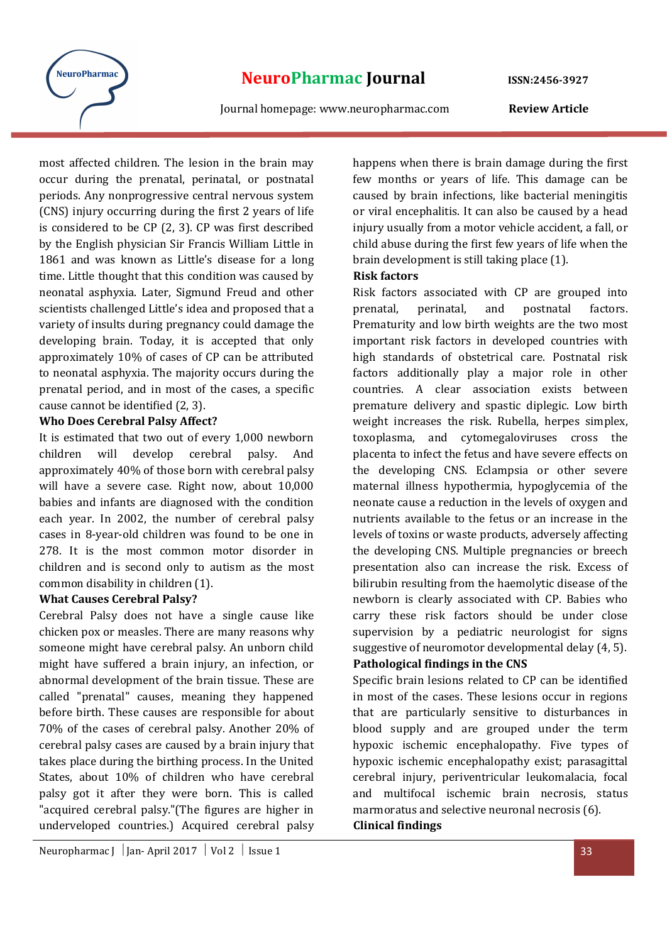

most affected children. The lesion in the brain may occur during the prenatal, perinatal, or postnatal periods. Any nonprogressive central nervous system (CNS) injury occurring during the first 2 years of life is considered to be CP (2, 3). CP was first described by the English physician Sir Francis William Little in 1861 and was known as Little's disease for a long time. Little thought that this condition was caused by neonatal asphyxia. Later, Sigmund Freud and other scientists challenged Little's idea and proposed that a variety of insults during pregnancy could damage the developing brain. Today, it is accepted that only approximately 10% of cases of CP can be attributed to neonatal asphyxia. The majority occurs during the prenatal period, and in most of the cases, a specific cause cannot be identified (2, 3).

## Who Does Cerebral Palsy Affect?

It is estimated that two out of every 1,000 newborn children will develop cerebral palsy. And approximately 40% of those born with cerebral palsy will have a severe case. Right now, about 10,000 babies and infants are diagnosed with the condition each year. In 2002, the number of cerebral palsy cases in 8-year-old children was found to be one in 278. It is the most common motor disorder in children and is second only to autism as the most common disability in children (1).

#### What Causes Cerebral Palsy?

Cerebral Palsy does not have a single cause like chicken pox or measles. There are many reasons why someone might have cerebral palsy. An unborn child might have suffered a brain injury, an infection, or abnormal development of the brain tissue. These are called "prenatal" causes, meaning they happened before birth. These causes are responsible for about 70% of the cases of cerebral palsy. Another 20% of cerebral palsy cases are caused by a brain injury that takes place during the birthing process. In the United States, about 10% of children who have cerebral palsy got it after they were born. This is called "acquired cerebral palsy."(The figures are higher in underveloped countries.) Acquired cerebral palsy

happens when there is brain damage during the first few months or years of life. This damage can be caused by brain infections, like bacterial meningitis or viral encephalitis. It can also be caused by a head injury usually from a motor vehicle accident, a fall, or child abuse during the first few years of life when the brain development is still taking place (1).

## Risk factors

Risk factors associated with CP are grouped into prenatal, perinatal, and postnatal factors. Prematurity and low birth weights are the two most important risk factors in developed countries with high standards of obstetrical care. Postnatal risk factors additionally play a major role in other countries. A clear association exists between premature delivery and spastic diplegic. Low birth weight increases the risk. Rubella, herpes simplex, toxoplasma, and cytomegaloviruses cross the placenta to infect the fetus and have severe effects on the developing CNS. Eclampsia or other severe maternal illness hypothermia, hypoglycemia of the neonate cause a reduction in the levels of oxygen and nutrients available to the fetus or an increase in the levels of toxins or waste products, adversely affecting the developing CNS. Multiple pregnancies or breech presentation also can increase the risk. Excess of bilirubin resulting from the haemolytic disease of the newborn is clearly associated with CP. Babies who carry these risk factors should be under close supervision by a pediatric neurologist for signs suggestive of neuromotor developmental delay (4, 5).

## Pathological findings in the CNS

Specific brain lesions related to CP can be identified in most of the cases. These lesions occur in regions that are particularly sensitive to disturbances in blood supply and are grouped under the term hypoxic ischemic encephalopathy. Five types of hypoxic ischemic encephalopathy exist; parasagittal cerebral injury, periventricular leukomalacia, focal and multifocal ischemic brain necrosis, status marmoratus and selective neuronal necrosis (6). Clinical findings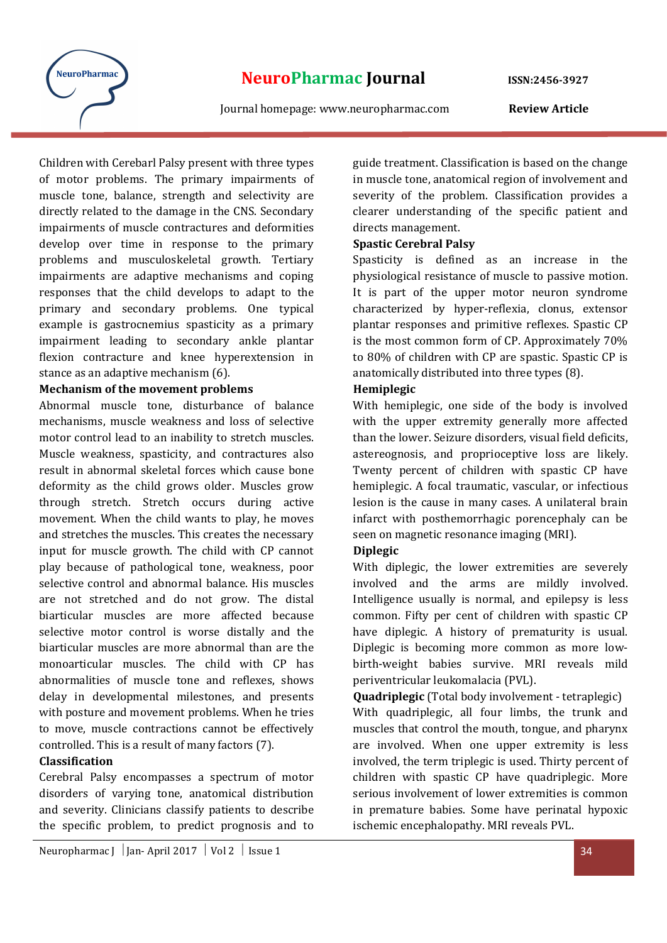

Children with Cerebarl Palsy present with three types of motor problems. The primary impairments of muscle tone, balance, strength and selectivity are directly related to the damage in the CNS. Secondary impairments of muscle contractures and deformities develop over time in response to the primary problems and musculoskeletal growth. Tertiary impairments are adaptive mechanisms and coping responses that the child develops to adapt to the primary and secondary problems. One typical example is gastrocnemius spasticity as a primary impairment leading to secondary ankle plantar flexion contracture and knee hyperextension in stance as an adaptive mechanism (6).

## Mechanism of the movement problems

Abnormal muscle tone, disturbance of balance mechanisms, muscle weakness and loss of selective motor control lead to an inability to stretch muscles. Muscle weakness, spasticity, and contractures also result in abnormal skeletal forces which cause bone deformity as the child grows older. Muscles grow through stretch. Stretch occurs during active movement. When the child wants to play, he moves and stretches the muscles. This creates the necessary input for muscle growth. The child with CP cannot play because of pathological tone, weakness, poor selective control and abnormal balance. His muscles are not stretched and do not grow. The distal biarticular muscles are more affected because selective motor control is worse distally and the biarticular muscles are more abnormal than are the monoarticular muscles. The child with CP has abnormalities of muscle tone and reflexes, shows delay in developmental milestones, and presents with posture and movement problems. When he tries to move, muscle contractions cannot be effectively controlled. This is a result of many factors (7).

## Classification

Cerebral Palsy encompasses a spectrum of motor disorders of varying tone, anatomical distribution and severity. Clinicians classify patients to describe the specific problem, to predict prognosis and to guide treatment. Classification is based on the change in muscle tone, anatomical region of involvement and severity of the problem. Classification provides a clearer understanding of the specific patient and directs management.

## Spastic Cerebral Palsy

Spasticity is defined as an increase in the physiological resistance of muscle to passive motion. It is part of the upper motor neuron syndrome characterized by hyper-reflexia, clonus, extensor plantar responses and primitive reflexes. Spastic CP is the most common form of CP. Approximately 70% to 80% of children with CP are spastic. Spastic CP is anatomically distributed into three types (8).

## Hemiplegic

With hemiplegic, one side of the body is involved with the upper extremity generally more affected than the lower. Seizure disorders, visual field deficits, astereognosis, and proprioceptive loss are likely. Twenty percent of children with spastic CP have hemiplegic. A focal traumatic, vascular, or infectious lesion is the cause in many cases. A unilateral brain infarct with posthemorrhagic porencephaly can be seen on magnetic resonance imaging (MRI).

## Diplegic

With diplegic, the lower extremities are severely involved and the arms are mildly involved. Intelligence usually is normal, and epilepsy is less common. Fifty per cent of children with spastic CP have diplegic. A history of prematurity is usual. Diplegic is becoming more common as more lowbirth-weight babies survive. MRI reveals mild periventricular leukomalacia (PVL).

Quadriplegic (Total body involvement - tetraplegic) With quadriplegic, all four limbs, the trunk and muscles that control the mouth, tongue, and pharynx are involved. When one upper extremity is less involved, the term triplegic is used. Thirty percent of children with spastic CP have quadriplegic. More serious involvement of lower extremities is common in premature babies. Some have perinatal hypoxic ischemic encephalopathy. MRI reveals PVL.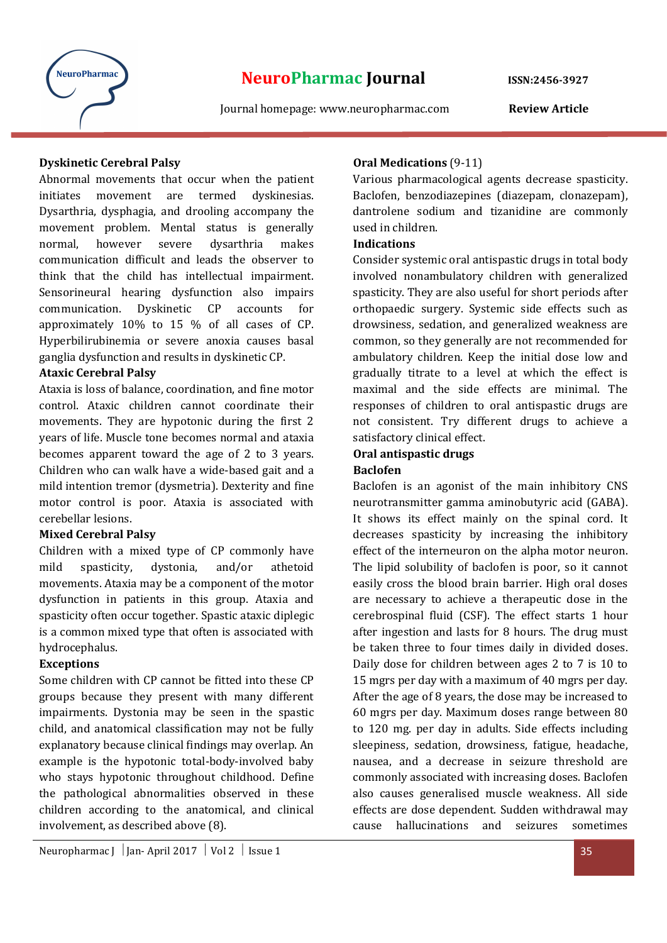

## Dyskinetic Cerebral Palsy

Abnormal movements that occur when the patient initiates movement are termed dyskinesias. Dysarthria, dysphagia, and drooling accompany the movement problem. Mental status is generally normal, however severe dysarthria makes communication difficult and leads the observer to think that the child has intellectual impairment. Sensorineural hearing dysfunction also impairs communication. Dyskinetic CP accounts for approximately 10% to 15 % of all cases of CP. Hyperbilirubinemia or severe anoxia causes basal ganglia dysfunction and results in dyskinetic CP.

## Ataxic Cerebral Palsy

Ataxia is loss of balance, coordination, and fine motor control. Ataxic children cannot coordinate their movements. They are hypotonic during the first 2 years of life. Muscle tone becomes normal and ataxia becomes apparent toward the age of 2 to 3 years. Children who can walk have a wide-based gait and a mild intention tremor (dysmetria). Dexterity and fine motor control is poor. Ataxia is associated with cerebellar lesions.

## Mixed Cerebral Palsy

Children with a mixed type of CP commonly have mild spasticity, dystonia, and/or athetoid movements. Ataxia may be a component of the motor dysfunction in patients in this group. Ataxia and spasticity often occur together. Spastic ataxic diplegic is a common mixed type that often is associated with hydrocephalus.

#### Exceptions

Some children with CP cannot be fitted into these CP groups because they present with many different impairments. Dystonia may be seen in the spastic child, and anatomical classification may not be fully explanatory because clinical findings may overlap. An example is the hypotonic total-body-involved baby who stays hypotonic throughout childhood. Define the pathological abnormalities observed in these children according to the anatomical, and clinical involvement, as described above (8).

## Oral Medications (9-11)

Various pharmacological agents decrease spasticity. Baclofen, benzodiazepines (diazepam, clonazepam), dantrolene sodium and tizanidine are commonly used in children.

## Indications

Consider systemic oral antispastic drugs in total body involved nonambulatory children with generalized spasticity. They are also useful for short periods after orthopaedic surgery. Systemic side effects such as drowsiness, sedation, and generalized weakness are common, so they generally are not recommended for ambulatory children. Keep the initial dose low and gradually titrate to a level at which the effect is maximal and the side effects are minimal. The responses of children to oral antispastic drugs are not consistent. Try different drugs to achieve a satisfactory clinical effect.

## Oral antispastic drugs

## Baclofen

Baclofen is an agonist of the main inhibitory CNS neurotransmitter gamma aminobutyric acid (GABA). It shows its effect mainly on the spinal cord. It decreases spasticity by increasing the inhibitory effect of the interneuron on the alpha motor neuron. The lipid solubility of baclofen is poor, so it cannot easily cross the blood brain barrier. High oral doses are necessary to achieve a therapeutic dose in the cerebrospinal fluid (CSF). The effect starts 1 hour after ingestion and lasts for 8 hours. The drug must be taken three to four times daily in divided doses. Daily dose for children between ages 2 to 7 is 10 to 15 mgrs per day with a maximum of 40 mgrs per day. After the age of 8 years, the dose may be increased to 60 mgrs per day. Maximum doses range between 80 to 120 mg. per day in adults. Side effects including sleepiness, sedation, drowsiness, fatigue, headache, nausea, and a decrease in seizure threshold are commonly associated with increasing doses. Baclofen also causes generalised muscle weakness. All side effects are dose dependent. Sudden withdrawal may cause hallucinations and seizures sometimes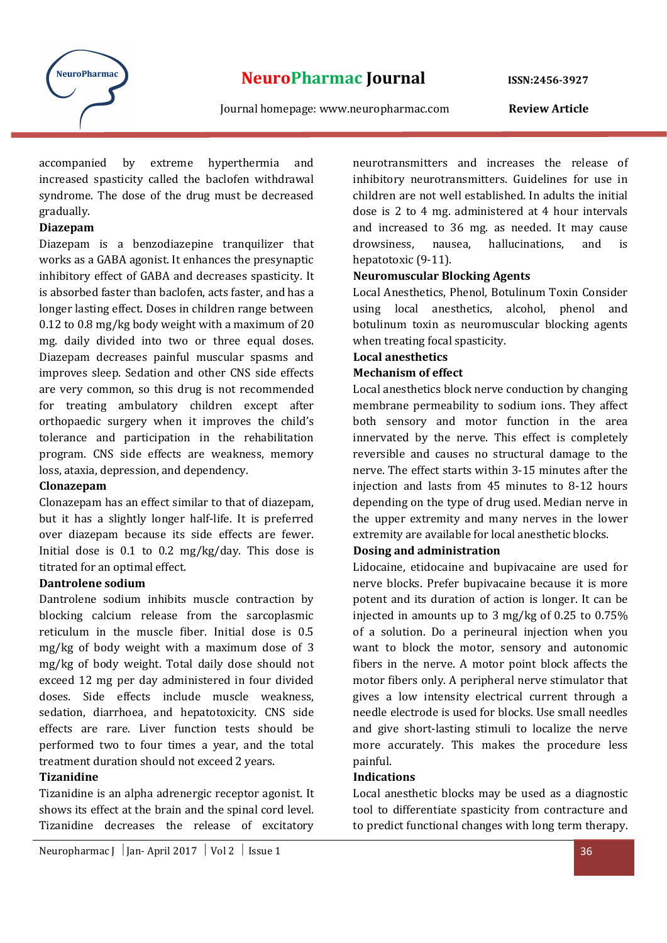

accompanied by extreme hyperthermia and increased spasticity called the baclofen withdrawal syndrome. The dose of the drug must be decreased gradually.

## Diazepam

Diazepam is a benzodiazepine tranquilizer that works as a GABA agonist. It enhances the presynaptic inhibitory effect of GABA and decreases spasticity. It is absorbed faster than baclofen, acts faster, and has a longer lasting effect. Doses in children range between 0.12 to 0.8 mg/kg body weight with a maximum of 20 mg. daily divided into two or three equal doses. Diazepam decreases painful muscular spasms and improves sleep. Sedation and other CNS side effects are very common, so this drug is not recommended for treating ambulatory children except after orthopaedic surgery when it improves the child's tolerance and participation in the rehabilitation program. CNS side effects are weakness, memory loss, ataxia, depression, and dependency.

#### **Clonazepam**

Clonazepam has an effect similar to that of diazepam, but it has a slightly longer half-life. It is preferred over diazepam because its side effects are fewer. Initial dose is 0.1 to 0.2 mg/kg/day. This dose is titrated for an optimal effect.

## Dantrolene sodium

Dantrolene sodium inhibits muscle contraction by blocking calcium release from the sarcoplasmic reticulum in the muscle fiber. Initial dose is 0.5 mg/kg of body weight with a maximum dose of 3 mg/kg of body weight. Total daily dose should not exceed 12 mg per day administered in four divided doses. Side effects include muscle weakness, sedation, diarrhoea, and hepatotoxicity. CNS side effects are rare. Liver function tests should be performed two to four times a year, and the total treatment duration should not exceed 2 years.

## Tizanidine

Tizanidine is an alpha adrenergic receptor agonist. It shows its effect at the brain and the spinal cord level. Tizanidine decreases the release of excitatory

neurotransmitters and increases the release of inhibitory neurotransmitters. Guidelines for use in children are not well established. In adults the initial dose is 2 to 4 mg. administered at 4 hour intervals and increased to 36 mg. as needed. It may cause drowsiness, nausea, hallucinations, and is hepatotoxic (9-11).

## Neuromuscular Blocking Agents

Local Anesthetics, Phenol, Botulinum Toxin Consider using local anesthetics, alcohol, phenol and botulinum toxin as neuromuscular blocking agents when treating focal spasticity.

#### Local anesthetics

#### Mechanism of effect

Local anesthetics block nerve conduction by changing membrane permeability to sodium ions. They affect both sensory and motor function in the area innervated by the nerve. This effect is completely reversible and causes no structural damage to the nerve. The effect starts within 3-15 minutes after the injection and lasts from 45 minutes to 8-12 hours depending on the type of drug used. Median nerve in the upper extremity and many nerves in the lower extremity are available for local anesthetic blocks.

### Dosing and administration

Lidocaine, etidocaine and bupivacaine are used for nerve blocks. Prefer bupivacaine because it is more potent and its duration of action is longer. It can be injected in amounts up to 3 mg/kg of 0.25 to 0.75% of a solution. Do a perineural injection when you want to block the motor, sensory and autonomic fibers in the nerve. A motor point block affects the motor fibers only. A peripheral nerve stimulator that gives a low intensity electrical current through a needle electrode is used for blocks. Use small needles and give short-lasting stimuli to localize the nerve more accurately. This makes the procedure less painful.

#### Indications

Local anesthetic blocks may be used as a diagnostic tool to differentiate spasticity from contracture and to predict functional changes with long term therapy.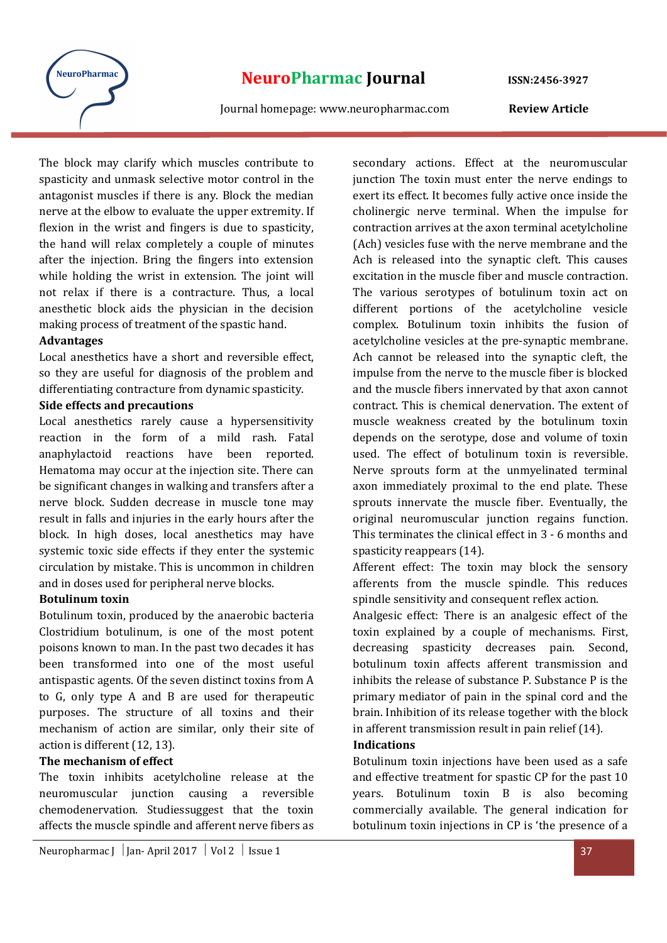

The block may clarify which muscles contribute to spasticity and unmask selective motor control in the antagonist muscles if there is any. Block the median nerve at the elbow to evaluate the upper extremity. If flexion in the wrist and fingers is due to spasticity, the hand will relax completely a couple of minutes after the injection. Bring the fingers into extension while holding the wrist in extension. The joint will not relax if there is a contracture. Thus, a local anesthetic block aids the physician in the decision making process of treatment of the spastic hand.

#### Advantages

Local anesthetics have a short and reversible effect, so they are useful for diagnosis of the problem and differentiating contracture from dynamic spasticity.

#### Side effects and precautions

Local anesthetics rarely cause a hypersensitivity reaction in the form of a mild rash. Fatal anaphylactoid reactions have been reported. Hematoma may occur at the injection site. There can be significant changes in walking and transfers after a nerve block. Sudden decrease in muscle tone may result in falls and injuries in the early hours after the block. In high doses, local anesthetics may have systemic toxic side effects if they enter the systemic circulation by mistake. This is uncommon in children and in doses used for peripheral nerve blocks.

#### Botulinum toxin

Botulinum toxin, produced by the anaerobic bacteria Clostridium botulinum, is one of the most potent poisons known to man. In the past two decades it has been transformed into one of the most useful antispastic agents. Of the seven distinct toxins from A to G, only type A and B are used for therapeutic purposes. The structure of all toxins and their mechanism of action are similar, only their site of action is different (12, 13).

#### The mechanism of effect

The toxin inhibits acetylcholine release at the neuromuscular junction causing a reversible chemodenervation. Studiessuggest that the toxin affects the muscle spindle and afferent nerve fibers as junction The toxin must enter the nerve endings to exert its effect. It becomes fully active once inside the cholinergic nerve terminal. When the impulse for contraction arrives at the axon terminal acetylcholine (Ach) vesicles fuse with the nerve membrane and the Ach is released into the synaptic cleft. This causes excitation in the muscle fiber and muscle contraction. The various serotypes of botulinum toxin act on different portions of the acetylcholine vesicle complex. Botulinum toxin inhibits the fusion of acetylcholine vesicles at the pre-synaptic membrane. Ach cannot be released into the synaptic cleft, the impulse from the nerve to the muscle fiber is blocked and the muscle fibers innervated by that axon cannot contract. This is chemical denervation. The extent of muscle weakness created by the botulinum toxin depends on the serotype, dose and volume of toxin used. The effect of botulinum toxin is reversible. Nerve sprouts form at the unmyelinated terminal axon immediately proximal to the end plate. These sprouts innervate the muscle fiber. Eventually, the original neuromuscular junction regains function. This terminates the clinical effect in 3 - 6 months and spasticity reappears (14).

secondary actions. Effect at the neuromuscular

Afferent effect: The toxin may block the sensory afferents from the muscle spindle. This reduces spindle sensitivity and consequent reflex action.

Analgesic effect: There is an analgesic effect of the toxin explained by a couple of mechanisms. First, decreasing spasticity decreases pain. Second, botulinum toxin affects afferent transmission and inhibits the release of substance P. Substance P is the primary mediator of pain in the spinal cord and the brain. Inhibition of its release together with the block in afferent transmission result in pain relief (14).

#### Indications

Botulinum toxin injections have been used as a safe and effective treatment for spastic CP for the past 10 years. Botulinum toxin B is also becoming commercially available. The general indication for botulinum toxin injections in CP is 'the presence of a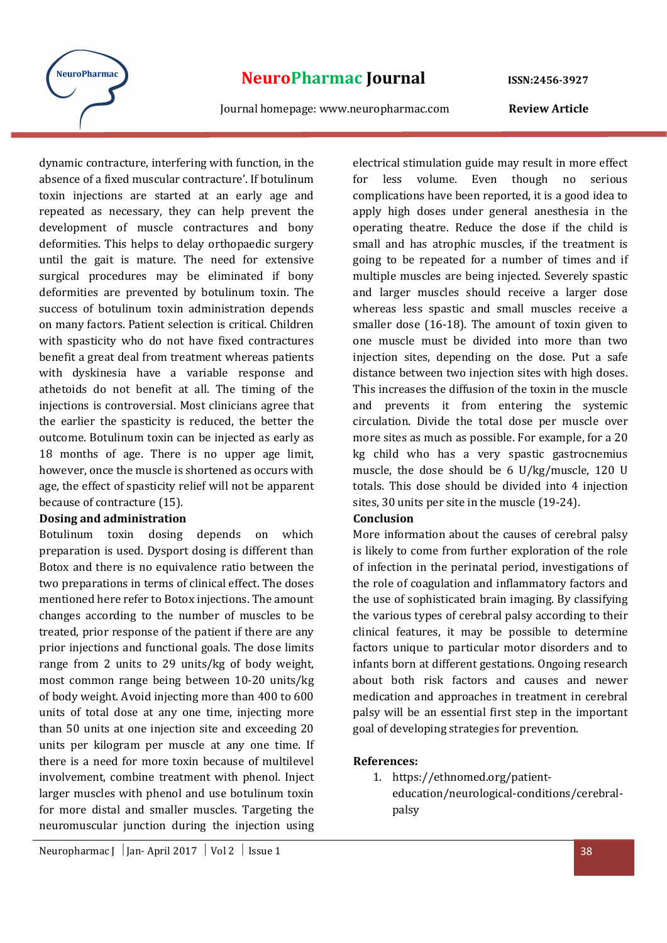

dynamic contracture, interfering with function, in the absence of a fixed muscular contracture'. If botulinum toxin injections are started at an early age and repeated as necessary, they can help prevent the development of muscle contractures and bony deformities. This helps to delay orthopaedic surgery until the gait is mature. The need for extensive surgical procedures may be eliminated if bony deformities are prevented by botulinum toxin. The success of botulinum toxin administration depends on many factors. Patient selection is critical. Children with spasticity who do not have fixed contractures benefit a great deal from treatment whereas patients with dyskinesia have a variable response and athetoids do not benefit at all. The timing of the injections is controversial. Most clinicians agree that the earlier the spasticity is reduced, the better the outcome. Botulinum toxin can be injected as early as 18 months of age. There is no upper age limit, however, once the muscle is shortened as occurs with age, the effect of spasticity relief will not be apparent because of contracture (15).

#### Dosing and administration

Botulinum toxin dosing depends on which preparation is used. Dysport dosing is different than Botox and there is no equivalence ratio between the two preparations in terms of clinical effect. The doses mentioned here refer to Botox injections. The amount changes according to the number of muscles to be treated, prior response of the patient if there are any prior injections and functional goals. The dose limits range from 2 units to 29 units/kg of body weight, most common range being between 10-20 units/kg of body weight. Avoid injecting more than 400 to 600 units of total dose at any one time, injecting more than 50 units at one injection site and exceeding 20 units per kilogram per muscle at any one time. If there is a need for more toxin because of multilevel involvement, combine treatment with phenol. Inject larger muscles with phenol and use botulinum toxin for more distal and smaller muscles. Targeting the neuromuscular junction during the injection using

electrical stimulation guide may result in more effect for less volume. Even though no serious complications have been reported, it is a good idea to apply high doses under general anesthesia in the operating theatre. Reduce the dose if the child is small and has atrophic muscles, if the treatment is going to be repeated for a number of times and if multiple muscles are being injected. Severely spastic and larger muscles should receive a larger dose whereas less spastic and small muscles receive a smaller dose (16-18). The amount of toxin given to one muscle must be divided into more than two injection sites, depending on the dose. Put a safe distance between two injection sites with high doses. This increases the diffusion of the toxin in the muscle and prevents it from entering the systemic circulation. Divide the total dose per muscle over more sites as much as possible. For example, for a 20 kg child who has a very spastic gastrocnemius muscle, the dose should be 6 U/kg/muscle, 120 U totals. This dose should be divided into 4 injection sites, 30 units per site in the muscle (19-24).

## Conclusion

More information about the causes of cerebral palsy is likely to come from further exploration of the role of infection in the perinatal period, investigations of the role of coagulation and inflammatory factors and the use of sophisticated brain imaging. By classifying the various types of cerebral palsy according to their clinical features, it may be possible to determine factors unique to particular motor disorders and to infants born at different gestations. Ongoing research about both risk factors and causes and newer medication and approaches in treatment in cerebral palsy will be an essential first step in the important goal of developing strategies for prevention.

## References:

1. https://ethnomed.org/patienteducation/neurological-conditions/cerebralpalsy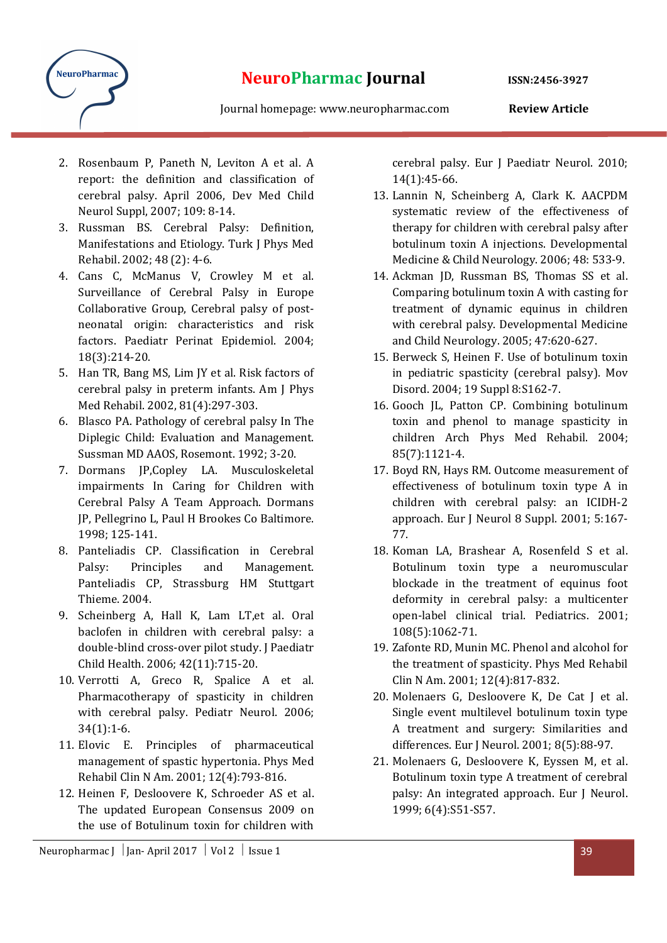

- 2. Rosenbaum P, Paneth N, Leviton A et al. A report: the definition and classification of cerebral palsy. April 2006, Dev Med Child Neurol Suppl, 2007; 109: 8-14.
- 3. Russman BS. Cerebral Palsy: Definition, Manifestations and Etiology. Turk J Phys Med Rehabil. 2002; 48 (2): 4-6.
- 4. Cans C, McManus V, Crowley M et al. Surveillance of Cerebral Palsy in Europe Collaborative Group, Cerebral palsy of postneonatal origin: characteristics and risk factors. Paediatr Perinat Epidemiol. 2004; 18(3):214-20.
- 5. Han TR, Bang MS, Lim JY et al. Risk factors of cerebral palsy in preterm infants. Am J Phys Med Rehabil. 2002, 81(4):297-303.
- 6. Blasco PA. Pathology of cerebral palsy In The Diplegic Child: Evaluation and Management. Sussman MD AAOS, Rosemont. 1992; 3-20.
- 7. Dormans JP,Copley LA. Musculoskeletal impairments In Caring for Children with Cerebral Palsy A Team Approach. Dormans JP, Pellegrino L, Paul H Brookes Co Baltimore. 1998; 125-141.
- 8. Panteliadis CP. Classification in Cerebral Palsy: Principles and Management. Panteliadis CP, Strassburg HM Stuttgart Thieme. 2004.
- 9. Scheinberg A, Hall K, Lam LT,et al. Oral baclofen in children with cerebral palsy: a double-blind cross-over pilot study. J Paediatr Child Health. 2006; 42(11):715-20.
- 10. Verrotti A, Greco R, Spalice A et al. Pharmacotherapy of spasticity in children with cerebral palsy. Pediatr Neurol. 2006; 34(1):1-6.
- 11. Elovic E. Principles of pharmaceutical management of spastic hypertonia. Phys Med Rehabil Clin N Am. 2001; 12(4):793-816.
- 12. Heinen F, Desloovere K, Schroeder AS et al. The updated European Consensus 2009 on the use of Botulinum toxin for children with

Neuropharmac J | Jan- April 2017 | Vol 2 | Issue 1  $\overline{39}$ 

cerebral palsy. Eur J Paediatr Neurol. 2010; 14(1):45-66.

- 13. Lannin N, Scheinberg A, Clark K. AACPDM systematic review of the effectiveness of therapy for children with cerebral palsy after botulinum toxin A injections. Developmental Medicine & Child Neurology. 2006; 48: 533-9.
- 14. Ackman JD, Russman BS, Thomas SS et al. Comparing botulinum toxin A with casting for treatment of dynamic equinus in children with cerebral palsy. Developmental Medicine and Child Neurology. 2005; 47:620-627.
- 15. Berweck S, Heinen F. Use of botulinum toxin in pediatric spasticity (cerebral palsy). Mov Disord. 2004; 19 Suppl 8:S162-7.
- 16. Gooch JL, Patton CP. Combining botulinum toxin and phenol to manage spasticity in children Arch Phys Med Rehabil. 2004; 85(7):1121-4.
- 17. Boyd RN, Hays RM. Outcome measurement of effectiveness of botulinum toxin type A in children with cerebral palsy: an ICIDH-2 approach. Eur J Neurol 8 Suppl. 2001; 5:167- 77.
- 18. Koman LA, Brashear A, Rosenfeld S et al. Botulinum toxin type a neuromuscular blockade in the treatment of equinus foot deformity in cerebral palsy: a multicenter open-label clinical trial. Pediatrics. 2001; 108(5):1062-71.
- 19. Zafonte RD, Munin MC. Phenol and alcohol for the treatment of spasticity. Phys Med Rehabil Clin N Am. 2001; 12(4):817-832.
- 20. Molenaers G, Desloovere K, De Cat J et al. Single event multilevel botulinum toxin type A treatment and surgery: Similarities and differences. Eur J Neurol. 2001; 8(5):88-97.
- 21. Molenaers G, Desloovere K, Eyssen M, et al. Botulinum toxin type A treatment of cerebral palsy: An integrated approach. Eur J Neurol. 1999; 6(4):S51-S57.